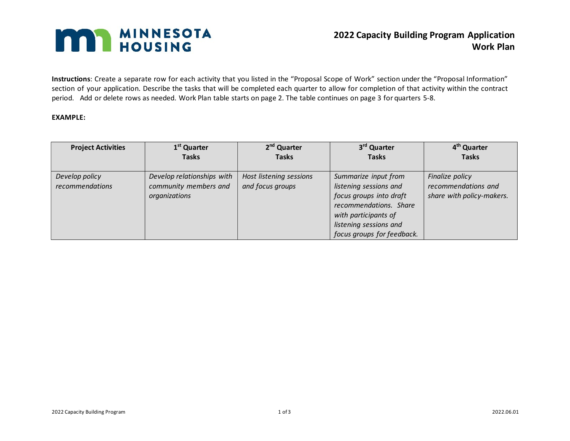## **MAN MINNESOTA**

**Instructions**: Create a separate row for each activity that you listed in the "Proposal Scope of Work" section under the "Proposal Information" section of your application. Describe the tasks that will be completed each quarter to allow for completion of that activity within the contract period. Add or delete rows as needed. Work Plan table starts on page 2. The table continues on page 3 for quarters 5-8.

## **EXAMPLE:**

| <b>Project Activities</b> | 1 <sup>st</sup> Quarter    | 2 <sup>nd</sup> Quarter | 3 <sup>rd</sup> Quarter    | 4 <sup>th</sup> Quarter   |
|---------------------------|----------------------------|-------------------------|----------------------------|---------------------------|
|                           | <b>Tasks</b>               | <b>Tasks</b>            | <b>Tasks</b>               | <b>Tasks</b>              |
|                           |                            |                         |                            |                           |
| Develop policy            | Develop relationships with | Host listening sessions | Summarize input from       | Finalize policy           |
| recommendations           | community members and      | and focus groups        | listening sessions and     | recommendations and       |
|                           | organizations              |                         | focus groups into draft    | share with policy-makers. |
|                           |                            |                         | recommendations. Share     |                           |
|                           |                            |                         | with participants of       |                           |
|                           |                            |                         | listening sessions and     |                           |
|                           |                            |                         | focus groups for feedback. |                           |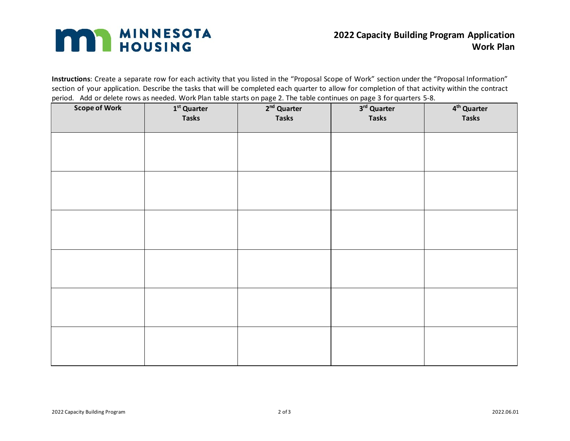## **MAN MINNESOTA**

**Instructions**: Create a separate row for each activity that you listed in the "Proposal Scope of Work" section under the "Proposal Information" section of your application. Describe the tasks that will be completed each quarter to allow for completion of that activity within the contract period. Add or delete rows as needed. Work Plan table starts on page 2. The table continues on page 3 for quarters 5-8.

| <b>Scope of Work</b> | $1st$ Quarter<br><b>Tasks</b> | $2nd$ Quarter<br><b>Tasks</b> | $3rd$ Quarter<br>. .<br><b>Tasks</b> | 4 <sup>th</sup> Quarter<br><b>Tasks</b> |
|----------------------|-------------------------------|-------------------------------|--------------------------------------|-----------------------------------------|
|                      |                               |                               |                                      |                                         |
|                      |                               |                               |                                      |                                         |
|                      |                               |                               |                                      |                                         |
|                      |                               |                               |                                      |                                         |
|                      |                               |                               |                                      |                                         |
|                      |                               |                               |                                      |                                         |
|                      |                               |                               |                                      |                                         |
|                      |                               |                               |                                      |                                         |
|                      |                               |                               |                                      |                                         |
|                      |                               |                               |                                      |                                         |
|                      |                               |                               |                                      |                                         |